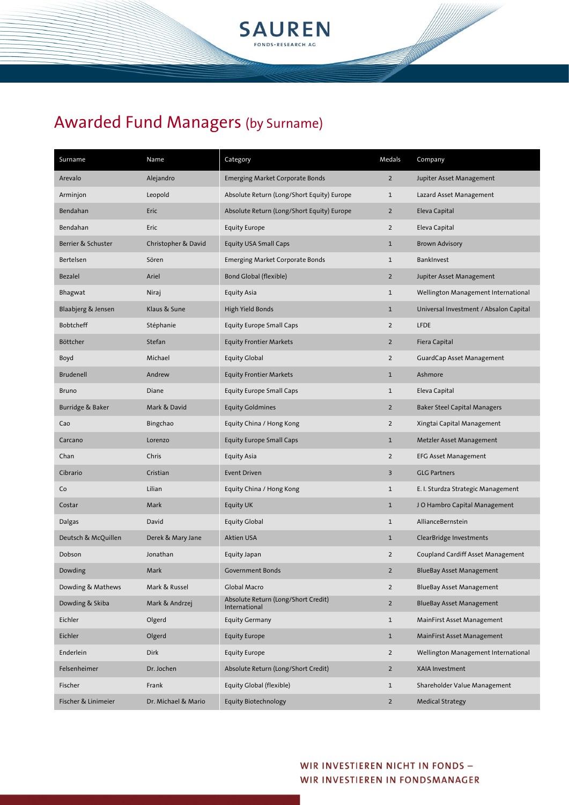

| Surname             | Name                | Category                                             | Medals         | Company                                  |
|---------------------|---------------------|------------------------------------------------------|----------------|------------------------------------------|
| Arevalo             | Alejandro           | <b>Emerging Market Corporate Bonds</b>               | $\overline{2}$ | Jupiter Asset Management                 |
| Arminjon            | Leopold             | Absolute Return (Long/Short Equity) Europe           | $\mathbf{1}$   | Lazard Asset Management                  |
| Bendahan            | Eric                | Absolute Return (Long/Short Equity) Europe           | $\overline{2}$ | Eleva Capital                            |
| Bendahan            | Eric                | <b>Equity Europe</b>                                 | $\overline{2}$ | Eleva Capital                            |
| Berrier & Schuster  | Christopher & David | <b>Equity USA Small Caps</b>                         | $\mathbf{1}$   | <b>Brown Advisory</b>                    |
| Bertelsen           | Sören               | Emerging Market Corporate Bonds                      | $\mathbf{1}$   | BankInvest                               |
| <b>Bezalel</b>      | Ariel               | Bond Global (flexible)                               | $\overline{2}$ | Jupiter Asset Management                 |
| Bhagwat             | Niraj               | <b>Equity Asia</b>                                   | $\mathbf{1}$   | Wellington Management International      |
| Blaabjerg & Jensen  | Klaus & Sune        | High Yield Bonds                                     | $\mathbf{1}$   | Universal Investment / Absalon Capital   |
| Bobtcheff           | Stéphanie           | <b>Equity Europe Small Caps</b>                      | $\overline{2}$ | <b>LFDE</b>                              |
| Böttcher            | Stefan              | <b>Equity Frontier Markets</b>                       | $\overline{2}$ | Fiera Capital                            |
| Boyd                | Michael             | <b>Equity Global</b>                                 | $\overline{2}$ | GuardCap Asset Management                |
| <b>Brudenell</b>    | Andrew              | <b>Equity Frontier Markets</b>                       | $\mathbf{1}$   | Ashmore                                  |
| <b>Bruno</b>        | Diane               | <b>Equity Europe Small Caps</b>                      | $\mathbf{1}$   | Eleva Capital                            |
| Burridge & Baker    | Mark & David        | <b>Equity Goldmines</b>                              | $\overline{2}$ | <b>Baker Steel Capital Managers</b>      |
| Cao                 | Bingchao            | Equity China / Hong Kong                             | $\overline{2}$ | Xingtai Capital Management               |
| Carcano             | Lorenzo             | <b>Equity Europe Small Caps</b>                      | $\mathbf{1}$   | Metzler Asset Management                 |
| Chan                | Chris               | <b>Equity Asia</b>                                   | $\overline{2}$ | <b>EFG Asset Management</b>              |
| Cibrario            | Cristian            | <b>Event Driven</b>                                  | 3              | <b>GLG Partners</b>                      |
| Co                  | Lilian              | Equity China / Hong Kong                             | $\mathbf{1}$   | E. I. Sturdza Strategic Management       |
| Costar              | Mark                | Equity UK                                            | $\mathbf{1}$   | JO Hambro Capital Management             |
| Dalgas              | David               | <b>Equity Global</b>                                 | $\mathbf{1}$   | AllianceBernstein                        |
| Deutsch & McQuillen | Derek & Mary Jane   | Aktien USA                                           | $\mathbf{1}$   | ClearBridge Investments                  |
| Dobson              | Jonathan            | Equity Japan                                         | $\overline{2}$ | <b>Coupland Cardiff Asset Management</b> |
| Dowding             | Mark                | <b>Government Bonds</b>                              | $\overline{2}$ | <b>BlueBay Asset Management</b>          |
| Dowding & Mathews   | Mark & Russel       | Global Macro                                         | $\overline{2}$ | <b>BlueBay Asset Management</b>          |
| Dowding & Skiba     | Mark & Andrzej      | Absolute Return (Long/Short Credit)<br>International | $\overline{2}$ | <b>BlueBay Asset Management</b>          |
| Eichler             | Olgerd              | <b>Equity Germany</b>                                | $\mathbf{1}$   | MainFirst Asset Management               |
| Eichler             | Olgerd              | <b>Equity Europe</b>                                 | $\mathbf{1}$   | MainFirst Asset Management               |
| Enderlein           | Dirk                | <b>Equity Europe</b>                                 | $\overline{2}$ | Wellington Management International      |
| Felsenheimer        | Dr. Jochen          | Absolute Return (Long/Short Credit)                  | $\overline{a}$ | XAIA Investment                          |
| Fischer             | Frank               | Equity Global (flexible)                             | $\mathbf{1}$   | Shareholder Value Management             |
| Fischer & Linimeier | Dr. Michael & Mario | <b>Equity Biotechnology</b>                          | $\overline{2}$ | <b>Medical Strategy</b>                  |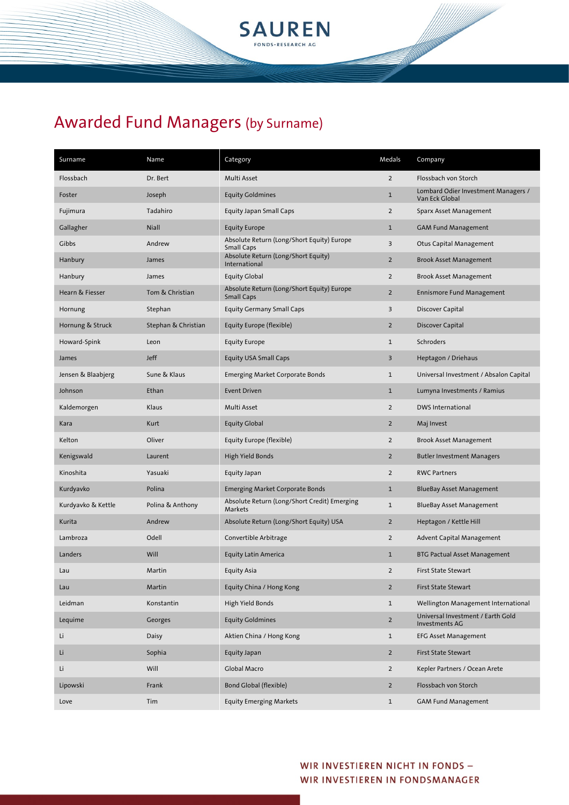

| Surname            | Name                | Category                                                        | Medals         | Company                                               |
|--------------------|---------------------|-----------------------------------------------------------------|----------------|-------------------------------------------------------|
| Flossbach          | Dr. Bert            | Multi Asset                                                     | $\overline{2}$ | Flossbach von Storch                                  |
| Foster             | Joseph              | <b>Equity Goldmines</b>                                         | $1\,$          | Lombard Odier Investment Managers /<br>Van Eck Global |
| Fujimura           | Tadahiro            | Equity Japan Small Caps                                         | $\overline{2}$ | Sparx Asset Management                                |
| Gallagher          | Niall               | <b>Equity Europe</b>                                            | $\mathbf{1}$   | <b>GAM Fund Management</b>                            |
| Gibbs              | Andrew              | Absolute Return (Long/Short Equity) Europe<br><b>Small Caps</b> | 3              | Otus Capital Management                               |
| Hanbury            | James               | Absolute Return (Long/Short Equity)<br>International            | $\overline{2}$ | <b>Brook Asset Management</b>                         |
| Hanbury            | James               | <b>Equity Global</b>                                            | $\overline{2}$ | <b>Brook Asset Management</b>                         |
| Hearn & Fiesser    | Tom & Christian     | Absolute Return (Long/Short Equity) Europe<br><b>Small Caps</b> | $\overline{2}$ | <b>Ennismore Fund Management</b>                      |
| Hornung            | Stephan             | <b>Equity Germany Small Caps</b>                                | 3              | Discover Capital                                      |
| Hornung & Struck   | Stephan & Christian | Equity Europe (flexible)                                        | $\overline{2}$ | Discover Capital                                      |
| Howard-Spink       | Leon                | <b>Equity Europe</b>                                            | $1\,$          | Schroders                                             |
| James              | <b>Jeff</b>         | <b>Equity USA Small Caps</b>                                    | 3              | Heptagon / Driehaus                                   |
| Jensen & Blaabjerg | Sune & Klaus        | <b>Emerging Market Corporate Bonds</b>                          | $\mathbf{1}$   | Universal Investment / Absalon Capital                |
| Johnson            | Ethan               | Event Driven                                                    | $\mathbf{1}$   | Lumyna Investments / Ramius                           |
| Kaldemorgen        | Klaus               | Multi Asset                                                     | $\overline{2}$ | <b>DWS International</b>                              |
| Kara               | Kurt                | <b>Equity Global</b>                                            | $\overline{2}$ | Maj Invest                                            |
| Kelton             | Oliver              | Equity Europe (flexible)                                        | $\overline{2}$ | <b>Brook Asset Management</b>                         |
| Kenigswald         | Laurent             | High Yield Bonds                                                | $\overline{2}$ | <b>Butler Investment Managers</b>                     |
| Kinoshita          | Yasuaki             | Equity Japan                                                    | $\overline{2}$ | <b>RWC Partners</b>                                   |
| Kurdyavko          | Polina              | <b>Emerging Market Corporate Bonds</b>                          | $\mathbf 1$    | <b>BlueBay Asset Management</b>                       |
| Kurdyavko & Kettle | Polina & Anthony    | Absolute Return (Long/Short Credit) Emerging<br>Markets         | $\mathbf 1$    | BlueBay Asset Management                              |
| Kurita             | Andrew              | Absolute Return (Long/Short Equity) USA                         | $\overline{2}$ | Heptagon / Kettle Hill                                |
| Lambroza           | Odell               | Convertible Arbitrage                                           | $\overline{2}$ | <b>Advent Capital Management</b>                      |
| Landers            | Will                | <b>Equity Latin America</b>                                     | $\mathbf{1}$   | <b>BTG Pactual Asset Management</b>                   |
| Lau                | Martin              | <b>Equity Asia</b>                                              | $\overline{2}$ | First State Stewart                                   |
| Lau                | Martin              | Equity China / Hong Kong                                        | $\overline{2}$ | First State Stewart                                   |
| Leidman            | Konstantin          | High Yield Bonds                                                | $\mathbf{1}$   | Wellington Management International                   |
| Lequime            | Georges             | <b>Equity Goldmines</b>                                         | $\overline{2}$ | Universal Investment / Earth Gold<br>Investments AG   |
| Li                 | Daisy               | Aktien China / Hong Kong                                        | $\mathbf{1}$   | <b>EFG Asset Management</b>                           |
| Li                 | Sophia              | Equity Japan                                                    | $\overline{2}$ | First State Stewart                                   |
| Li                 | Will                | Global Macro                                                    | $\overline{2}$ | Kepler Partners / Ocean Arete                         |
| Lipowski           | Frank               | <b>Bond Global (flexible)</b>                                   | $\overline{2}$ | Flossbach von Storch                                  |
| Love               | Tim                 | <b>Equity Emerging Markets</b>                                  | $\mathbf{1}$   | <b>GAM Fund Management</b>                            |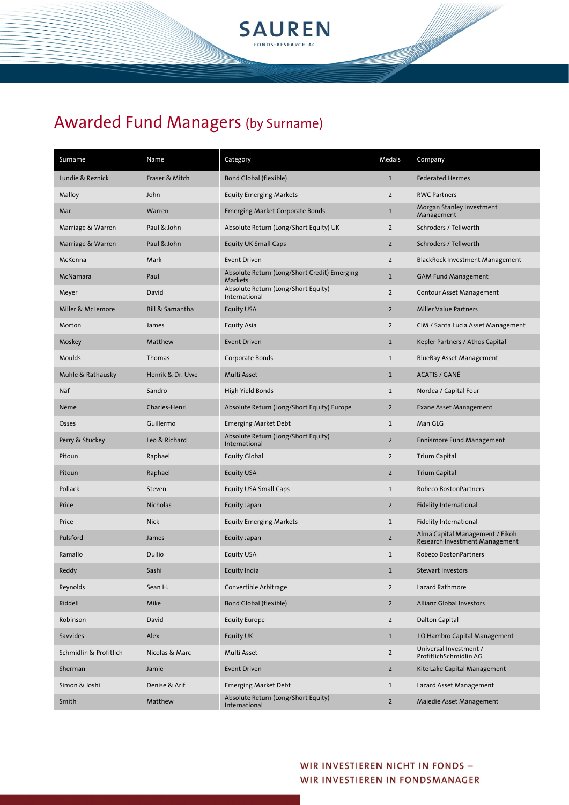

| Surname                | Name             | Category                                                | Medals         | Company                                                           |
|------------------------|------------------|---------------------------------------------------------|----------------|-------------------------------------------------------------------|
| Lundie & Reznick       | Fraser & Mitch   | <b>Bond Global (flexible)</b>                           | $\mathbf{1}$   | <b>Federated Hermes</b>                                           |
| Malloy                 | John             | <b>Equity Emerging Markets</b>                          | $\overline{2}$ | <b>RWC Partners</b>                                               |
| Mar                    | Warren           | <b>Emerging Market Corporate Bonds</b>                  | $\mathbf{1}$   | Morgan Stanley Investment<br>Management                           |
| Marriage & Warren      | Paul & John      | Absolute Return (Long/Short Equity) UK                  | $\overline{2}$ | Schroders / Tellworth                                             |
| Marriage & Warren      | Paul & John      | <b>Equity UK Small Caps</b>                             | $\overline{2}$ | Schroders / Tellworth                                             |
| McKenna                | Mark             | <b>Event Driven</b>                                     | $\overline{2}$ | <b>BlackRock Investment Management</b>                            |
| McNamara               | Paul             | Absolute Return (Long/Short Credit) Emerging<br>Markets | $\mathbf{1}$   | <b>GAM Fund Management</b>                                        |
| Meyer                  | David            | Absolute Return (Long/Short Equity)<br>International    | $\overline{2}$ | Contour Asset Management                                          |
| Miller & McLemore      | Bill & Samantha  | <b>Equity USA</b>                                       | $\overline{2}$ | <b>Miller Value Partners</b>                                      |
| Morton                 | James            | Equity Asia                                             | $\overline{2}$ | CIM / Santa Lucia Asset Management                                |
| Moskey                 | Matthew          | Event Driven                                            | $\mathbf{1}$   | Kepler Partners / Athos Capital                                   |
| Moulds                 | Thomas           | Corporate Bonds                                         | $\mathbf{1}$   | <b>BlueBay Asset Management</b>                                   |
| Muhle & Rathausky      | Henrik & Dr. Uwe | Multi Asset                                             | $\mathbf{1}$   | <b>ACATIS / GANÉ</b>                                              |
| Näf                    | Sandro           | High Yield Bonds                                        | $\mathbf{1}$   | Nordea / Capital Four                                             |
| Nême                   | Charles-Henri    | Absolute Return (Long/Short Equity) Europe              | $\overline{2}$ | <b>Exane Asset Management</b>                                     |
| Osses                  | Guillermo        | <b>Emerging Market Debt</b>                             | $\mathbf{1}$   | Man GLG                                                           |
| Perry & Stuckey        | Leo & Richard    | Absolute Return (Long/Short Equity)<br>International    | $\overline{2}$ | <b>Ennismore Fund Management</b>                                  |
| Pitoun                 | Raphael          | <b>Equity Global</b>                                    | $\overline{2}$ | <b>Trium Capital</b>                                              |
| Pitoun                 | Raphael          | Equity USA                                              | $\overline{2}$ | <b>Trium Capital</b>                                              |
| Pollack                | Steven           | <b>Equity USA Small Caps</b>                            | $\mathbf{1}$   | Robeco BostonPartners                                             |
| Price                  | <b>Nicholas</b>  | Equity Japan                                            | $\overline{2}$ | <b>Fidelity International</b>                                     |
| Price                  | <b>Nick</b>      | <b>Equity Emerging Markets</b>                          | $\mathbf{1}$   | <b>Fidelity International</b>                                     |
| Pulsford               | James            | Equity Japan                                            | $\overline{2}$ | Alma Capital Management / Eikoh<br>Research Investment Management |
| Ramallo                | Duilio           | Equity USA                                              | $\mathbf{1}$   | <b>Robeco BostonPartners</b>                                      |
| Reddy                  | Sashi            | Equity India                                            | $\mathbf{1}$   | <b>Stewart Investors</b>                                          |
| Reynolds               | Sean H.          | Convertible Arbitrage                                   | $\overline{2}$ | Lazard Rathmore                                                   |
| Riddell                | Mike             | Bond Global (flexible)                                  | $\overline{2}$ | Allianz Global Investors                                          |
| Robinson               | David            | <b>Equity Europe</b>                                    | $\overline{2}$ | Dalton Capital                                                    |
| Savvides               | Alex             | Equity UK                                               | $\mathbf{1}$   | JO Hambro Capital Management                                      |
| Schmidlin & Profitlich | Nicolas & Marc   | Multi Asset                                             | $\overline{2}$ | Universal Investment /<br>ProfitlichSchmidlin AG                  |
| Sherman                | Jamie            | <b>Event Driven</b>                                     | $\overline{2}$ | Kite Lake Capital Management                                      |
| Simon & Joshi          | Denise & Arif    | <b>Emerging Market Debt</b>                             | $\mathbf{1}$   | Lazard Asset Management                                           |
| Smith                  | Matthew          | Absolute Return (Long/Short Equity)<br>International    | $\overline{2}$ | Majedie Asset Management                                          |